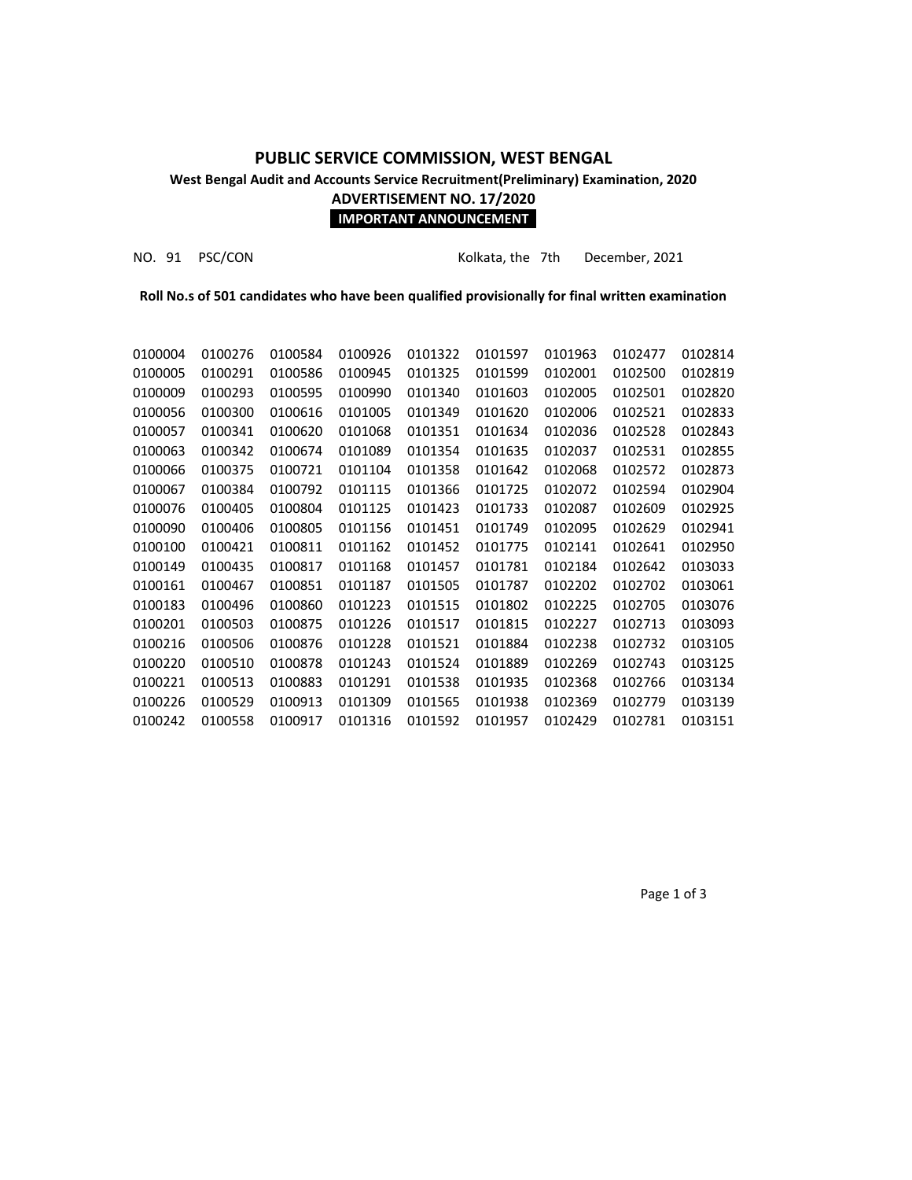# **PUBLIC SERVICE COMMISSION, WEST BENGAL West Bengal Audit and Accounts Service Recruitment(Preliminary) Examination, 2020 ADVERTISEMENT NO. 17/2020**

### **IMPORTANT ANNOUNCEMENT**

NO. 91 PSC/CON Kolkata, the 7th December, 2021

**Roll No.s of 501 candidates who have been qualified provisionally for final written examination**

| 0100004 | 0100276 | 0100584 | 0100926 | 0101322 | 0101597 | 0101963 | 0102477 | 0102814 |
|---------|---------|---------|---------|---------|---------|---------|---------|---------|
| 0100005 | 0100291 | 0100586 | 0100945 | 0101325 | 0101599 | 0102001 | 0102500 | 0102819 |
| 0100009 | 0100293 | 0100595 | 0100990 | 0101340 | 0101603 | 0102005 | 0102501 | 0102820 |
| 0100056 | 0100300 | 0100616 | 0101005 | 0101349 | 0101620 | 0102006 | 0102521 | 0102833 |
| 0100057 | 0100341 | 0100620 | 0101068 | 0101351 | 0101634 | 0102036 | 0102528 | 0102843 |
| 0100063 | 0100342 | 0100674 | 0101089 | 0101354 | 0101635 | 0102037 | 0102531 | 0102855 |
| 0100066 | 0100375 | 0100721 | 0101104 | 0101358 | 0101642 | 0102068 | 0102572 | 0102873 |
| 0100067 | 0100384 | 0100792 | 0101115 | 0101366 | 0101725 | 0102072 | 0102594 | 0102904 |
| 0100076 | 0100405 | 0100804 | 0101125 | 0101423 | 0101733 | 0102087 | 0102609 | 0102925 |
| 0100090 | 0100406 | 0100805 | 0101156 | 0101451 | 0101749 | 0102095 | 0102629 | 0102941 |
| 0100100 | 0100421 | 0100811 | 0101162 | 0101452 | 0101775 | 0102141 | 0102641 | 0102950 |
| 0100149 | 0100435 | 0100817 | 0101168 | 0101457 | 0101781 | 0102184 | 0102642 | 0103033 |
| 0100161 | 0100467 | 0100851 | 0101187 | 0101505 | 0101787 | 0102202 | 0102702 | 0103061 |
| 0100183 | 0100496 | 0100860 | 0101223 | 0101515 | 0101802 | 0102225 | 0102705 | 0103076 |
| 0100201 | 0100503 | 0100875 | 0101226 | 0101517 | 0101815 | 0102227 | 0102713 | 0103093 |
| 0100216 | 0100506 | 0100876 | 0101228 | 0101521 | 0101884 | 0102238 | 0102732 | 0103105 |
| 0100220 | 0100510 | 0100878 | 0101243 | 0101524 | 0101889 | 0102269 | 0102743 | 0103125 |
| 0100221 | 0100513 | 0100883 | 0101291 | 0101538 | 0101935 | 0102368 | 0102766 | 0103134 |
| 0100226 | 0100529 | 0100913 | 0101309 | 0101565 | 0101938 | 0102369 | 0102779 | 0103139 |
| 0100242 | 0100558 | 0100917 | 0101316 | 0101592 | 0101957 | 0102429 | 0102781 | 0103151 |
|         |         |         |         |         |         |         |         |         |

Page 1 of 3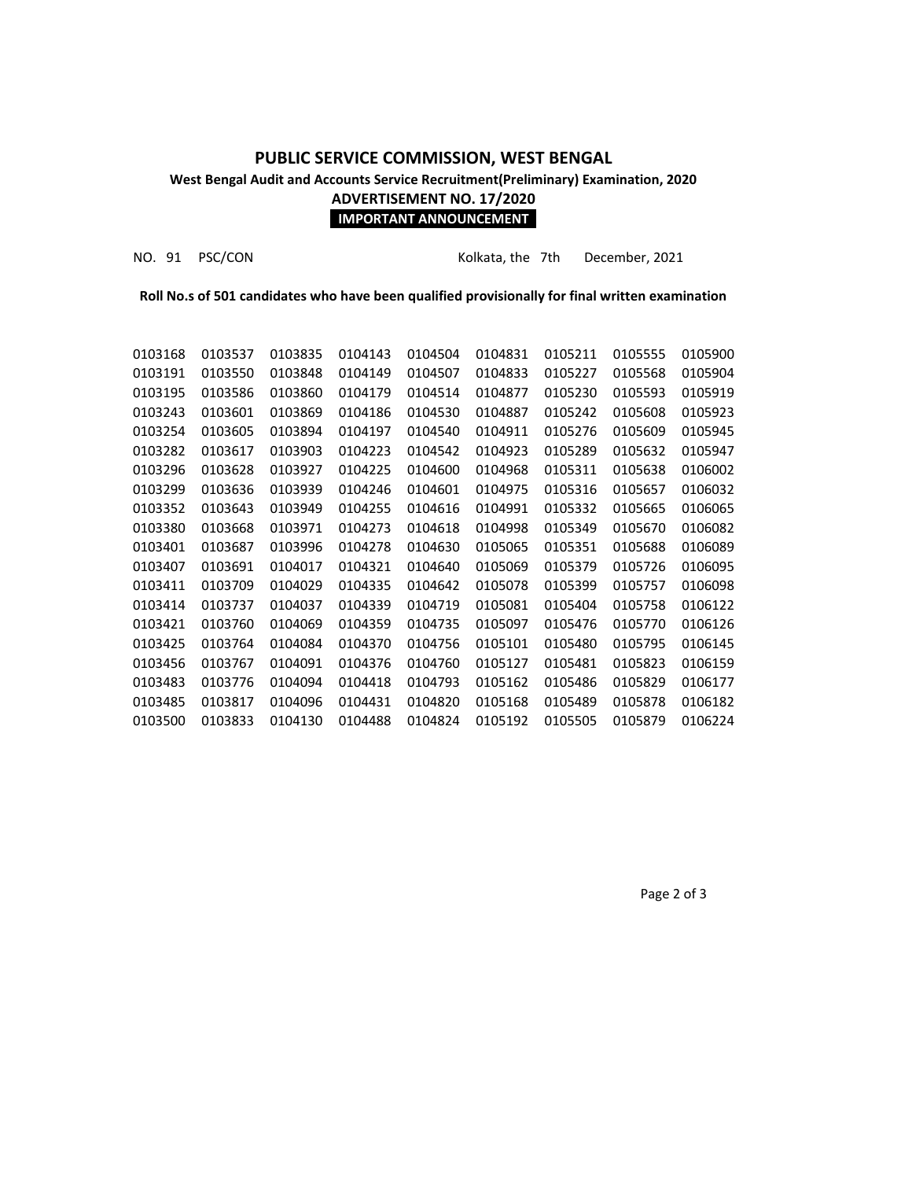## **PUBLIC SERVICE COMMISSION, WEST BENGAL West Bengal Audit and Accounts Service Recruitment(Preliminary) Examination, 2020 ADVERTISEMENT NO. 17/2020**

### **IMPORTANT ANNOUNCEMENT**

NO. 91 PSC/CON Kolkata, the 7th December, 2021

**Roll No.s of 501 candidates who have been qualified provisionally for final written examination**

| 0103168 | 0103537 | 0103835 | 0104143 | 0104504 | 0104831 | 0105211 | 0105555 | 0105900 |
|---------|---------|---------|---------|---------|---------|---------|---------|---------|
| 0103191 | 0103550 | 0103848 | 0104149 | 0104507 | 0104833 | 0105227 | 0105568 | 0105904 |
| 0103195 | 0103586 | 0103860 | 0104179 | 0104514 | 0104877 | 0105230 | 0105593 | 0105919 |
| 0103243 | 0103601 | 0103869 | 0104186 | 0104530 | 0104887 | 0105242 | 0105608 | 0105923 |
| 0103254 | 0103605 | 0103894 | 0104197 | 0104540 | 0104911 | 0105276 | 0105609 | 0105945 |
| 0103282 | 0103617 | 0103903 | 0104223 | 0104542 | 0104923 | 0105289 | 0105632 | 0105947 |
| 0103296 | 0103628 | 0103927 | 0104225 | 0104600 | 0104968 | 0105311 | 0105638 | 0106002 |
| 0103299 | 0103636 | 0103939 | 0104246 | 0104601 | 0104975 | 0105316 | 0105657 | 0106032 |
| 0103352 | 0103643 | 0103949 | 0104255 | 0104616 | 0104991 | 0105332 | 0105665 | 0106065 |
| 0103380 | 0103668 | 0103971 | 0104273 | 0104618 | 0104998 | 0105349 | 0105670 | 0106082 |
| 0103401 | 0103687 | 0103996 | 0104278 | 0104630 | 0105065 | 0105351 | 0105688 | 0106089 |
| 0103407 | 0103691 | 0104017 | 0104321 | 0104640 | 0105069 | 0105379 | 0105726 | 0106095 |
| 0103411 | 0103709 | 0104029 | 0104335 | 0104642 | 0105078 | 0105399 | 0105757 | 0106098 |
| 0103414 | 0103737 | 0104037 | 0104339 | 0104719 | 0105081 | 0105404 | 0105758 | 0106122 |
| 0103421 | 0103760 | 0104069 | 0104359 | 0104735 | 0105097 | 0105476 | 0105770 | 0106126 |
| 0103425 | 0103764 | 0104084 | 0104370 | 0104756 | 0105101 | 0105480 | 0105795 | 0106145 |
| 0103456 | 0103767 | 0104091 | 0104376 | 0104760 | 0105127 | 0105481 | 0105823 | 0106159 |
| 0103483 | 0103776 | 0104094 | 0104418 | 0104793 | 0105162 | 0105486 | 0105829 | 0106177 |
| 0103485 | 0103817 | 0104096 | 0104431 | 0104820 | 0105168 | 0105489 | 0105878 | 0106182 |
| 0103500 | 0103833 | 0104130 | 0104488 | 0104824 | 0105192 | 0105505 | 0105879 | 0106224 |
|         |         |         |         |         |         |         |         |         |

Page 2 of 3